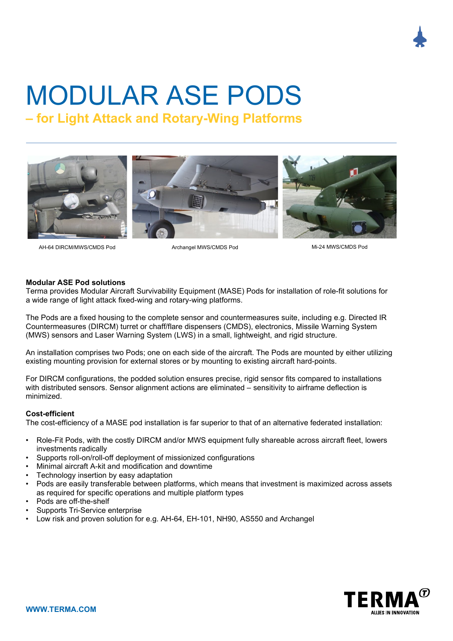# MODULAR ASE PODS

**– for Light Attack and Rotary-Wing Platforms**



AH-64 DIRCM/MWS/CMDS Pod Archangel MWS/CMDS Pod Mi-24 MWS/CMDS Pod

## **Modular ASE Pod solutions**

Terma provides Modular Aircraft Survivability Equipment (MASE) Pods for installation of role-fit solutions for a wide range of light attack fixed-wing and rotary-wing platforms.

The Pods are a fixed housing to the complete sensor and countermeasures suite, including e.g. Directed IR Countermeasures (DIRCM) turret or chaff/flare dispensers (CMDS), electronics, Missile Warning System (MWS) sensors and Laser Warning System (LWS) in a small, lightweight, and rigid structure.

An installation comprises two Pods; one on each side of the aircraft. The Pods are mounted by either utilizing existing mounting provision for external stores or by mounting to existing aircraft hard-points.

For DIRCM configurations, the podded solution ensures precise, rigid sensor fits compared to installations with distributed sensors. Sensor alignment actions are eliminated – sensitivity to airframe deflection is minimized.

# **Cost-efficient**

The cost-efficiency of a MASE pod installation is far superior to that of an alternative federated installation:

- Role-Fit Pods, with the costly DIRCM and/or MWS equipment fully shareable across aircraft fleet, lowers investments radically
- Supports roll-on/roll-off deployment of missionized configurations
- Minimal aircraft A-kit and modification and downtime
- Technology insertion by easy adaptation
- Pods are easily transferable between platforms, which means that investment is maximized across assets as required for specific operations and multiple platform types
- Pods are off-the-shelf
- Supports Tri-Service enterprise
- Low risk and proven solution for e.g. AH-64, EH-101, NH90, AS550 and Archangel